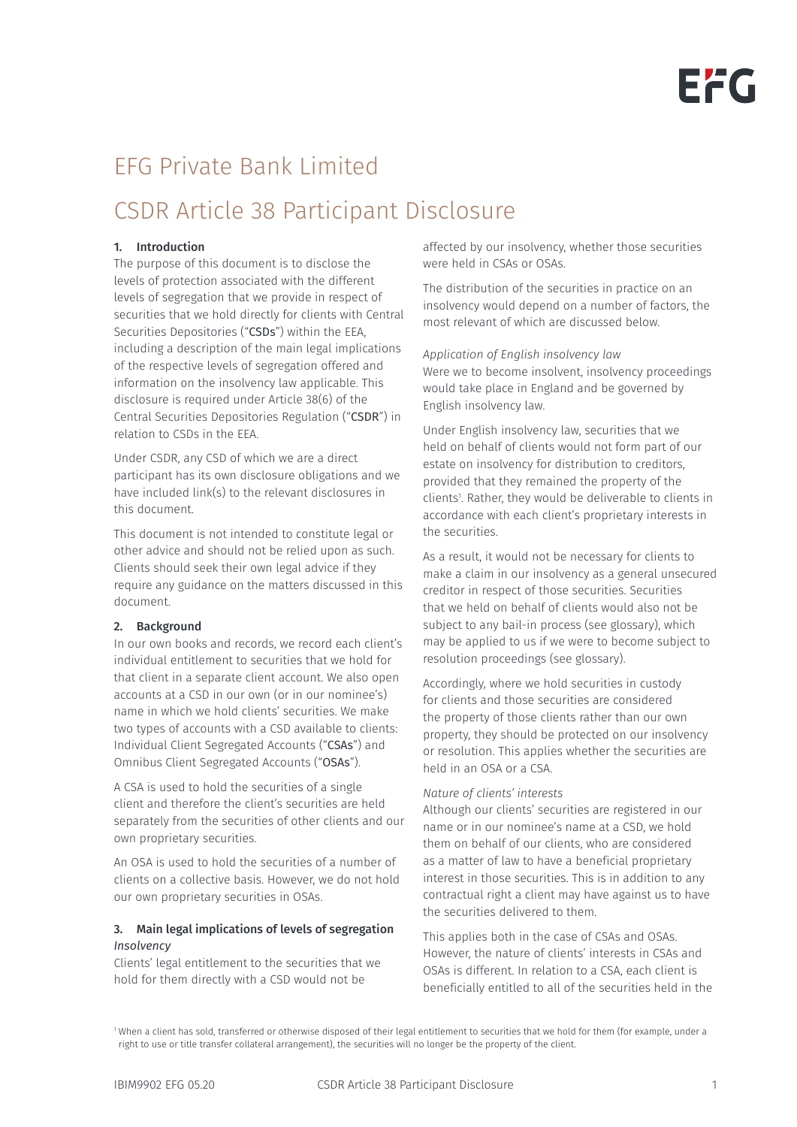# EFG Private Bank Limited

# CSDR Article 38 Participant Disclosure

# 1. Introduction

The purpose of this document is to disclose the levels of protection associated with the different levels of segregation that we provide in respect of securities that we hold directly for clients with Central Securities Depositories ("CSDs") within the EEA, including a description of the main legal implications of the respective levels of segregation offered and information on the insolvency law applicable. This disclosure is required under Article 38(6) of the Central Securities Depositories Regulation ("CSDR") in relation to CSDs in the EEA.

Under CSDR, any CSD of which we are a direct participant has its own disclosure obligations and we have included link(s) to the relevant disclosures in this document.

This document is not intended to constitute legal or other advice and should not be relied upon as such. Clients should seek their own legal advice if they require any guidance on the matters discussed in this document.

# 2. Background

In our own books and records, we record each client's individual entitlement to securities that we hold for that client in a separate client account. We also open accounts at a CSD in our own (or in our nominee's) name in which we hold clients' securities. We make two types of accounts with a CSD available to clients: Individual Client Segregated Accounts ("CSAs") and Omnibus Client Segregated Accounts ("OSAs").

A CSA is used to hold the securities of a single client and therefore the client's securities are held separately from the securities of other clients and our own proprietary securities.

An OSA is used to hold the securities of a number of clients on a collective basis. However, we do not hold our own proprietary securities in OSAs.

# 3. Main legal implications of levels of segregation *Insolvency*

Clients' legal entitlement to the securities that we hold for them directly with a CSD would not be

affected by our insolvency, whether those securities were held in CSAs or OSAs.

The distribution of the securities in practice on an insolvency would depend on a number of factors, the most relevant of which are discussed below.

*Application of English insolvency law* Were we to become insolvent, insolvency proceedings would take place in England and be governed by English insolvency law.

Under English insolvency law, securities that we held on behalf of clients would not form part of our estate on insolvency for distribution to creditors, provided that they remained the property of the clients1 . Rather, they would be deliverable to clients in accordance with each client's proprietary interests in the securities.

As a result, it would not be necessary for clients to make a claim in our insolvency as a general unsecured creditor in respect of those securities. Securities that we held on behalf of clients would also not be subject to any bail-in process (see glossary), which may be applied to us if we were to become subject to resolution proceedings (see glossary).

Accordingly, where we hold securities in custody for clients and those securities are considered the property of those clients rather than our own property, they should be protected on our insolvency or resolution. This applies whether the securities are held in an OSA or a CSA.

# *Nature of clients' interests*

Although our clients' securities are registered in our name or in our nominee's name at a CSD, we hold them on behalf of our clients, who are considered as a matter of law to have a beneficial proprietary interest in those securities. This is in addition to any contractual right a client may have against us to have the securities delivered to them.

This applies both in the case of CSAs and OSAs. However, the nature of clients' interests in CSAs and OSAs is different. In relation to a CSA, each client is beneficially entitled to all of the securities held in the

<sup>1</sup> When a client has sold, transferred or otherwise disposed of their legal entitlement to securities that we hold for them (for example, under a right to use or title transfer collateral arrangement), the securities will no longer be the property of the client.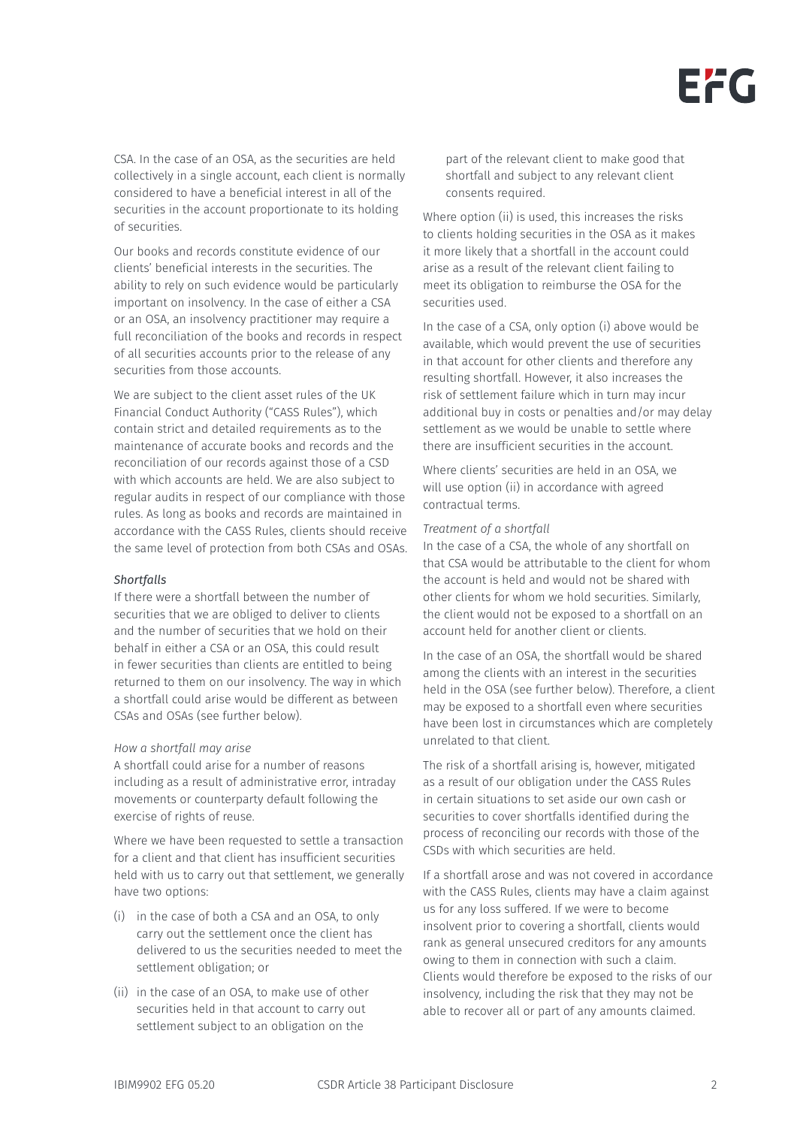CSA. In the case of an OSA, as the securities are held collectively in a single account, each client is normally considered to have a beneficial interest in all of the securities in the account proportionate to its holding of securities.

Our books and records constitute evidence of our clients' beneficial interests in the securities. The ability to rely on such evidence would be particularly important on insolvency. In the case of either a CSA or an OSA, an insolvency practitioner may require a full reconciliation of the books and records in respect of all securities accounts prior to the release of any securities from those accounts.

We are subject to the client asset rules of the UK Financial Conduct Authority ("CASS Rules"), which contain strict and detailed requirements as to the maintenance of accurate books and records and the reconciliation of our records against those of a CSD with which accounts are held. We are also subject to regular audits in respect of our compliance with those rules. As long as books and records are maintained in accordance with the CASS Rules, clients should receive the same level of protection from both CSAs and OSAs.

# *Shortfalls*

If there were a shortfall between the number of securities that we are obliged to deliver to clients and the number of securities that we hold on their behalf in either a CSA or an OSA, this could result in fewer securities than clients are entitled to being returned to them on our insolvency. The way in which a shortfall could arise would be different as between CSAs and OSAs (see further below).

#### *How a shortfall may arise*

A shortfall could arise for a number of reasons including as a result of administrative error, intraday movements or counterparty default following the exercise of rights of reuse.

Where we have been requested to settle a transaction for a client and that client has insufficient securities held with us to carry out that settlement, we generally have two options:

- (i) in the case of both a CSA and an OSA, to only carry out the settlement once the client has delivered to us the securities needed to meet the settlement obligation; or
- (ii) in the case of an OSA, to make use of other securities held in that account to carry out settlement subject to an obligation on the

part of the relevant client to make good that shortfall and subject to any relevant client consents required.

Where option (ii) is used, this increases the risks to clients holding securities in the OSA as it makes it more likely that a shortfall in the account could arise as a result of the relevant client failing to meet its obligation to reimburse the OSA for the securities used.

In the case of a CSA, only option (i) above would be available, which would prevent the use of securities in that account for other clients and therefore any resulting shortfall. However, it also increases the risk of settlement failure which in turn may incur additional buy in costs or penalties and/or may delay settlement as we would be unable to settle where there are insufficient securities in the account.

Where clients' securities are held in an OSA, we will use option (ii) in accordance with agreed contractual terms.

#### *Treatment of a shortfall*

In the case of a CSA, the whole of any shortfall on that CSA would be attributable to the client for whom the account is held and would not be shared with other clients for whom we hold securities. Similarly, the client would not be exposed to a shortfall on an account held for another client or clients.

In the case of an OSA, the shortfall would be shared among the clients with an interest in the securities held in the OSA (see further below). Therefore, a client may be exposed to a shortfall even where securities have been lost in circumstances which are completely unrelated to that client.

The risk of a shortfall arising is, however, mitigated as a result of our obligation under the CASS Rules in certain situations to set aside our own cash or securities to cover shortfalls identified during the process of reconciling our records with those of the CSDs with which securities are held.

If a shortfall arose and was not covered in accordance with the CASS Rules, clients may have a claim against us for any loss suffered. If we were to become insolvent prior to covering a shortfall, clients would rank as general unsecured creditors for any amounts owing to them in connection with such a claim. Clients would therefore be exposed to the risks of our insolvency, including the risk that they may not be able to recover all or part of any amounts claimed.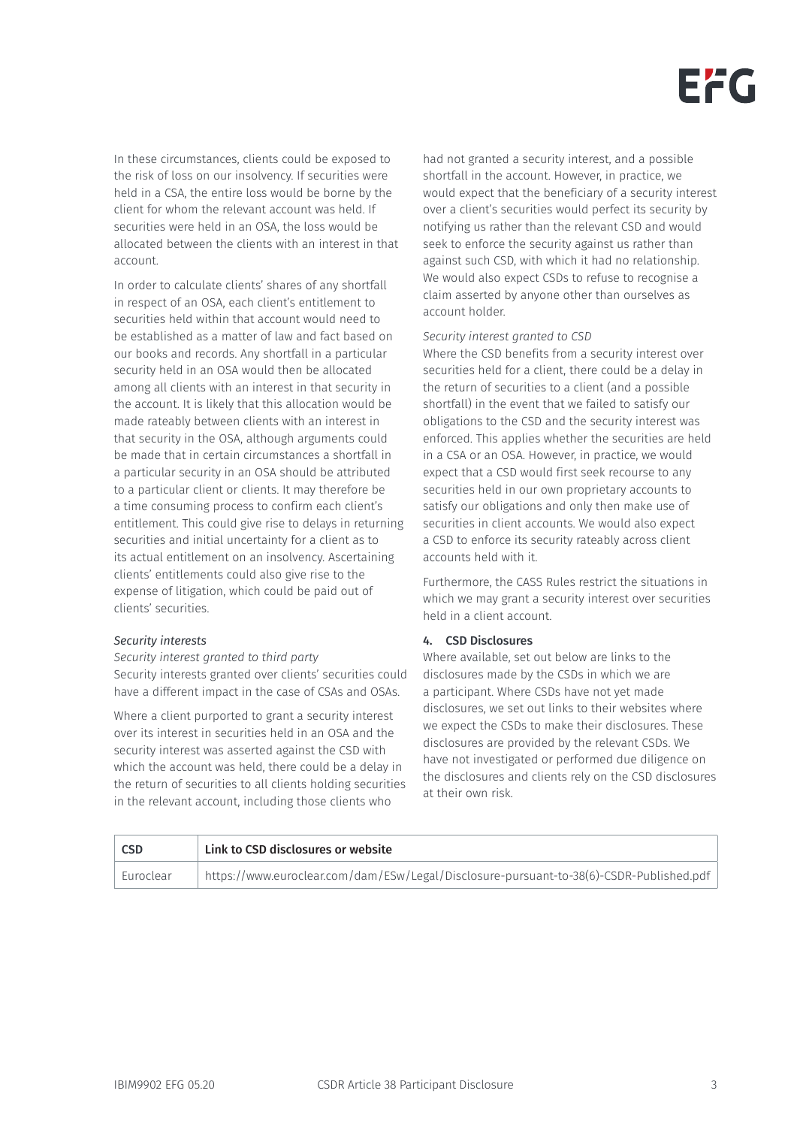In these circumstances, clients could be exposed to the risk of loss on our insolvency. If securities were held in a CSA, the entire loss would be borne by the client for whom the relevant account was held. If securities were held in an OSA, the loss would be allocated between the clients with an interest in that account.

In order to calculate clients' shares of any shortfall in respect of an OSA, each client's entitlement to securities held within that account would need to be established as a matter of law and fact based on our books and records. Any shortfall in a particular security held in an OSA would then be allocated among all clients with an interest in that security in the account. It is likely that this allocation would be made rateably between clients with an interest in that security in the OSA, although arguments could be made that in certain circumstances a shortfall in a particular security in an OSA should be attributed to a particular client or clients. It may therefore be a time consuming process to confirm each client's entitlement. This could give rise to delays in returning securities and initial uncertainty for a client as to its actual entitlement on an insolvency. Ascertaining clients' entitlements could also give rise to the expense of litigation, which could be paid out of clients' securities.

# *Security interests*

*Security interest granted to third party* Security interests granted over clients' securities could have a different impact in the case of CSAs and OSAs.

Where a client purported to grant a security interest over its interest in securities held in an OSA and the security interest was asserted against the CSD with which the account was held, there could be a delay in the return of securities to all clients holding securities in the relevant account, including those clients who

had not granted a security interest, and a possible shortfall in the account. However, in practice, we would expect that the beneficiary of a security interest over a client's securities would perfect its security by notifying us rather than the relevant CSD and would seek to enforce the security against us rather than against such CSD, with which it had no relationship. We would also expect CSDs to refuse to recognise a claim asserted by anyone other than ourselves as account holder.

#### *Security interest granted to CSD*

Where the CSD benefits from a security interest over securities held for a client, there could be a delay in the return of securities to a client (and a possible shortfall) in the event that we failed to satisfy our obligations to the CSD and the security interest was enforced. This applies whether the securities are held in a CSA or an OSA. However, in practice, we would expect that a CSD would first seek recourse to any securities held in our own proprietary accounts to satisfy our obligations and only then make use of securities in client accounts. We would also expect a CSD to enforce its security rateably across client accounts held with it.

Furthermore, the CASS Rules restrict the situations in which we may grant a security interest over securities held in a client account.

# 4. CSD Disclosures

Where available, set out below are links to the disclosures made by the CSDs in which we are a participant. Where CSDs have not yet made disclosures, we set out links to their websites where we expect the CSDs to make their disclosures. These disclosures are provided by the relevant CSDs. We have not investigated or performed due diligence on the disclosures and clients rely on the CSD disclosures at their own risk.

| <b>CSD</b> | Link to CSD disclosures or website                                                      |
|------------|-----------------------------------------------------------------------------------------|
| Euroclear  | https://www.euroclear.com/dam/ESw/Legal/Disclosure-pursuant-to-38(6)-CSDR-Published.pdf |